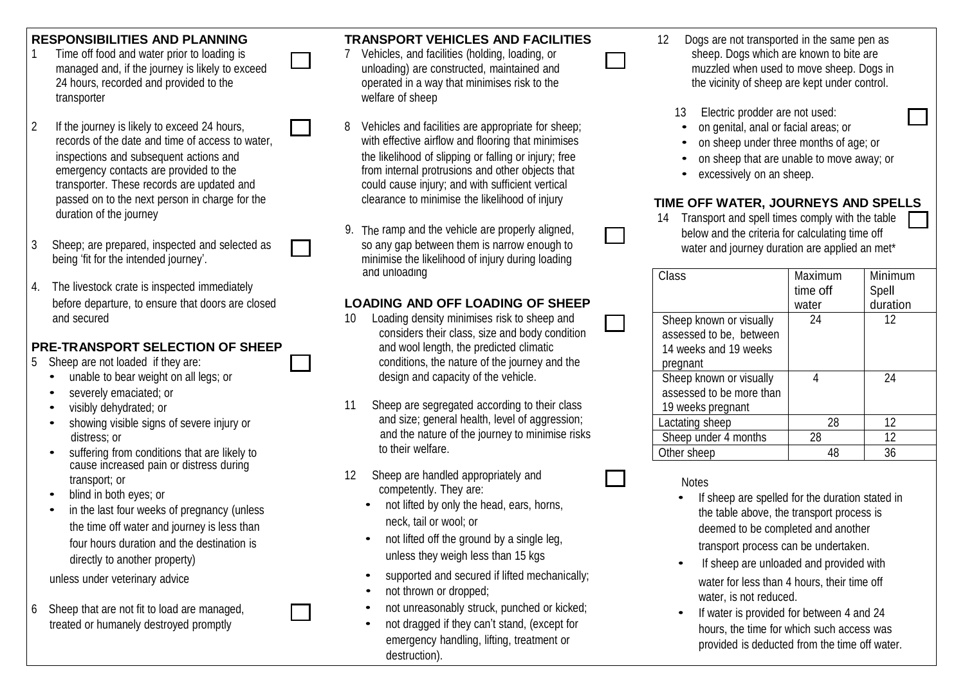- transporter welfare of sheep
- passed on to the next person in charge for the clearance to minimise the likelihood of injury **TIME OFF WATER, JOURNEYS AND SPELLS**<br>duration of the journey with the table
- 3 Sheep; are prepared, inspected and selected as so any gap between them is narrow enough to water and journey duration are applied an met\*<br>being 'fit for the intended journey'.
- 4. The livestock crate is inspected immediately

### **PRE-TRANSPORT SELECTION OF SHEEP** and wool length, the predicted climatic

- -
	- severely emaciated; or
	-
	-
	- suffering from conditions that are likely to cause increased pain or distress during
	- blind in both eyes; or
	- in the last four weeks of pregnancy (unless the time off water and journey is less than neck, tail or wool; or deemed to be completed and another four hours duration and the destination is directly to another property)
	-
- 6 Sheep that are not fit to load are managed,<br>freated or humanely destroyed promptly<br>example and they can't stand, (except for the second provided for between 4 and 24<br>hours the time for which such access way

#### **RESPONSIBILITIES AND PLANNING TRANSPORT VEHICLES AND FACILITIES** 12 Dogs are not transported in the same pen as

- 1 Time off food and water prior to loading is **TEM** 7 Vehicles, and facilities (holding, loading, or TEM Sheep. Dogs which are known to bite are 24 hours, recorded and provided to the operated in a way that minimises risk to the the vicinity of sheep are kept under control.
- 2 If the journey is likely to exceed 24 hours, **1990 and Strutter and facilities are appropriate for sheep**;<br>2 records of the date and time of access to water. with effective airflow and flooring that minimises **•** on shee with effective airflow and flooring that minimises • on sheep under three months of age; or<br>the likelihood of slipping or falling or injury: free • on sheep that are unable to move away. inspections and subsequent actions and example and the likelihood of slipping or falling or injury; free **•** on sheep that are unable to move away; or emergency contacts are provided to the **the state of the state of the s** emergency contacts are provided to the from internal protrusions and other objects that excessively on an sheep.<br>
Fransporter. These records are updated and could cause iniury: and with sufficient vertical could cause injury; and with sufficient vertical
	- minimise the likelihood of injury during loading and unloading

## before departure, to ensure that doors are closed **LOADING AND OFF LOADING OF SHEEP**

- and secured **10** Loading density minimises risk to sheep and considers their class, size and body condition 5 Sheep are not loaded if they are: **conditions**, the nature of the journey and the unable to bear weight on all legs; or **design and capacity of the vehicle.** 
	- visibly dehydrated; or 11 Sheep are segregated according to their class showing visible signs of severe injury or and size; general health, level of aggression; distress; or and the nature of the journey to minimise risks<br>eutforing from earliering that are likely to
	- Example are handled appropriately and<br>https://transport; or 12 Sheep are handled appropriately and Notes<br>https://they.org/stately.energy-
		- not lifted by only the head, ears, horns,
		- not lifted off the ground by a single leg, transport process can be undertaken. unless they weigh less than 15 kgs
		-
		-
		-
		- destruction).
- managed and, if the journey is likely to exceed  $\Box$  unloading) are constructed, maintained and muzzled when used to move sheep. Dogs in
	- 13 Electric prodder are not used:
		-
		-
	-
	-

9. The ramp and the vehicle are properly aligned,  $\Box$  14 Transport and spell times comply with the table 9. The ramp and the vehicle are properly aligned,  $\Box$ The ramp and the vehicle are properly aligned, below and the criteria for calculating time off so any gap between them is narrow enough to  $\Box$ 

| Class                    | Maximum  | Minimum  |
|--------------------------|----------|----------|
|                          | time off | Spell    |
|                          | water    | duration |
| Sheep known or visually  | 24       | 12       |
| assessed to be, between  |          |          |
| 14 weeks and 19 weeks    |          |          |
| pregnant                 |          |          |
| Sheep known or visually  |          | 24       |
| assessed to be more than |          |          |
| 19 weeks pregnant        |          |          |
| Lactating sheep          | 28       | 12       |
| Sheep under 4 months     | 28       | 12       |
| Other sheep              | 48       | 36       |

- If sheep are spelled for the duration stated in the table above, the transport process is
- If sheep are unloaded and provided with unless under veterinary advice **•** supported and secured if lifted mechanically;<br>water for less than 4 hours, their time off not thrown or dropped;<br>
not unreasonably struck, punched or kicked;<br>
not unreasonably struck, punched or kicked;<br>
a later is not reduced.
	- the dragged if they can't stand, (except for hours, the time for which such access was<br>emergency handling, lifting, treatment or hours, the time for which such access was provided is deducted from the time off water.